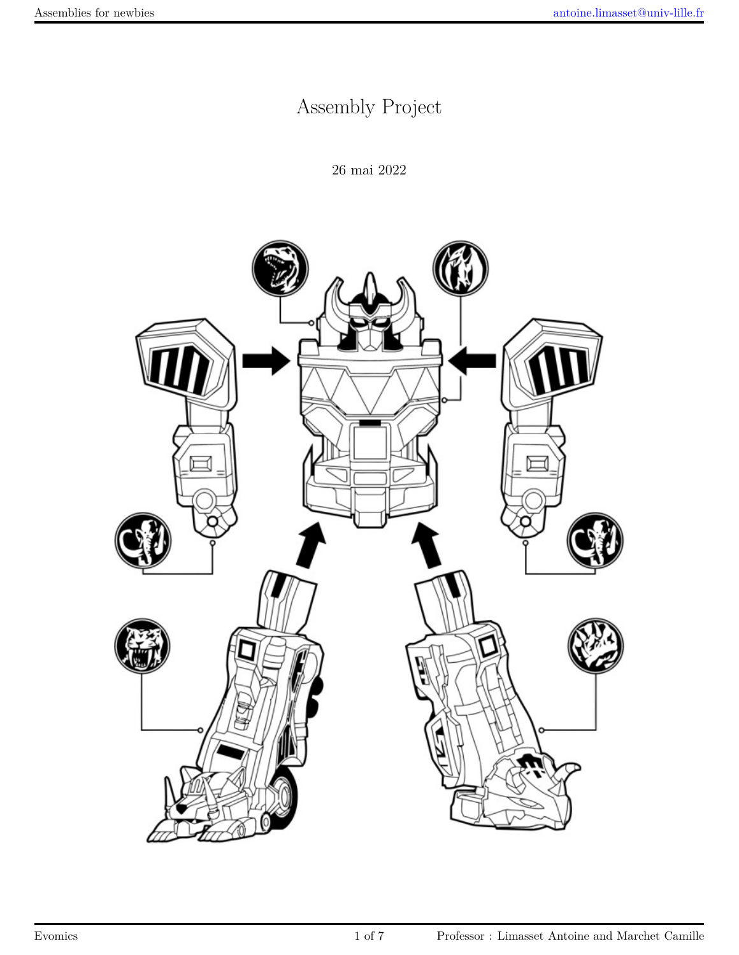# Assembly Project

26 mai 2022

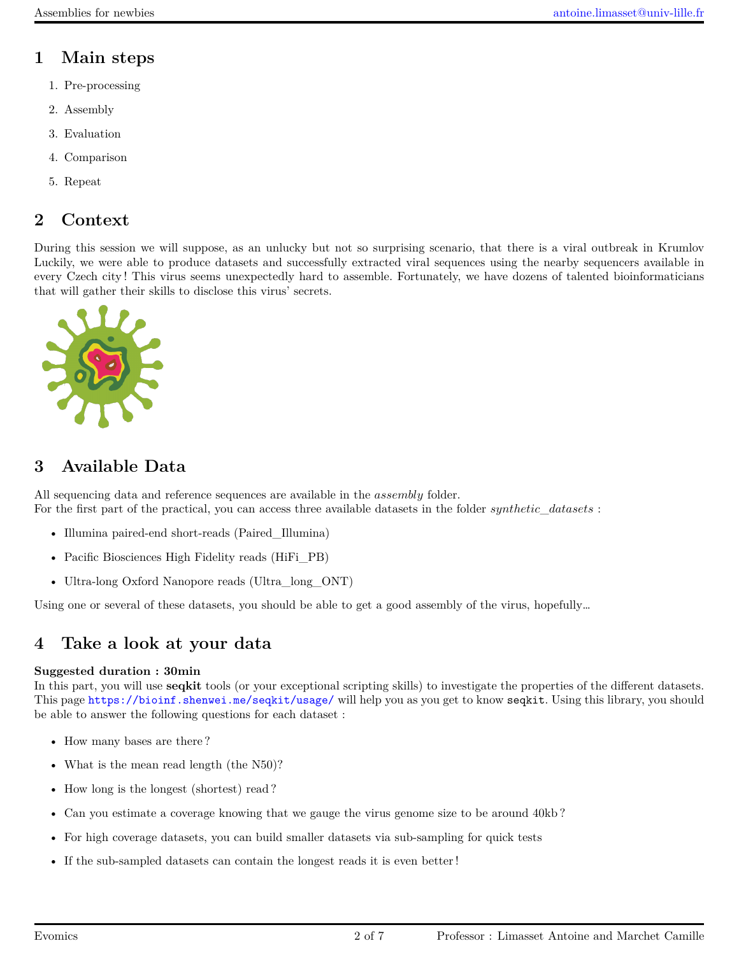# **1 Main steps**

- 1. Pre-processing
- 2. Assembly
- 3. Evaluation
- 4. Comparison
- 5. Repeat

# **2 Context**

During this session we will suppose, as an unlucky but not so surprising scenario, that there is a viral outbreak in Krumlov Luckily, we were able to produce datasets and successfully extracted viral sequences using the nearby sequencers available in every Czech city ! This virus seems unexpectedly hard to assemble. Fortunately, we have dozens of talented bioinformaticians that will gather their skills to disclose this virus' secrets.



# **3 Available Data**

All sequencing data and reference sequences are available in the *assembly* folder. For the first part of the practical, you can access three available datasets in the folder *synthetic*\_*datasets* :

- Illumina paired-end short-reads (Paired\_Illumina)
- Pacific Biosciences High Fidelity reads (HiFi\_PB)
- Ultra-long Oxford Nanopore reads (Ultra\_long\_ONT)

Using one or several of these datasets, you should be able to get a good assembly of the virus, hopefully…

# **4 Take a look at your data**

#### **Suggested duration : 30min**

In this part, you will use **seqkit** tools (or your exceptional scripting skills) to investigate the properties of the different datasets. This page <https://bioinf.shenwei.me/seqkit/usage/> will help you as you get to know seqkit. Using this library, you should be able to answer the following questions for each dataset :

- How many bases are there ?
- What is the mean read length (the N50)?
- How long is the longest (shortest) read?
- Can you estimate a coverage knowing that we gauge the virus genome size to be around 40kb?
- For high coverage datasets, you can build smaller datasets via sub-sampling for quick tests
- If the sub-sampled datasets can contain the longest reads it is even better !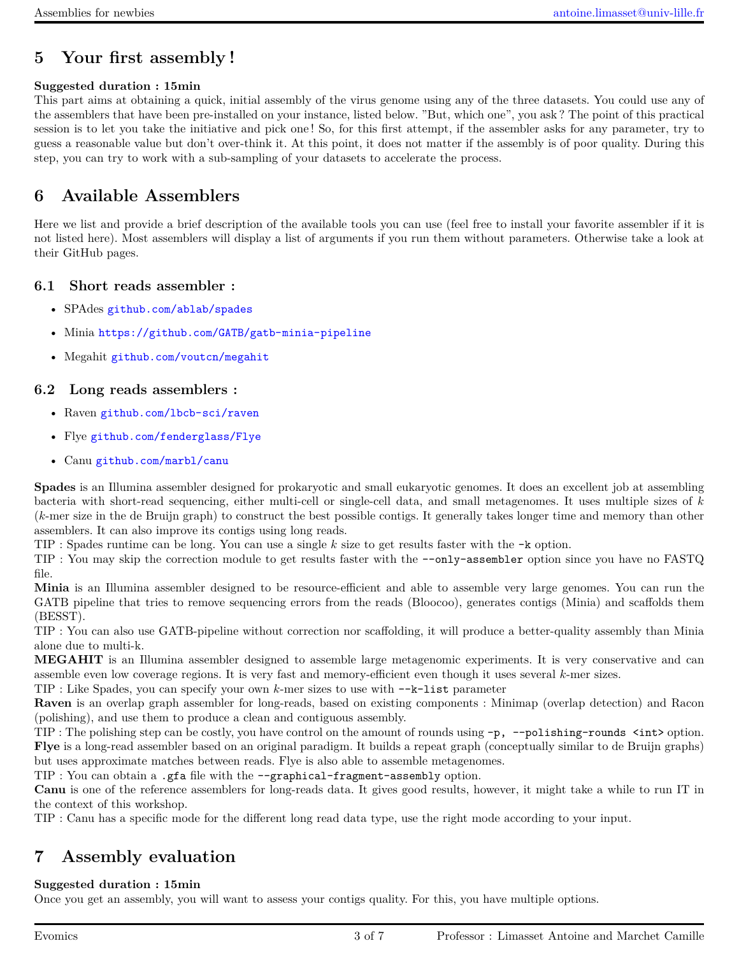### **5 Your first assembly !**

#### **Suggested duration : 15min**

This part aims at obtaining a quick, initial assembly of the virus genome using any of the three datasets. You could use any of the assemblers that have been pre-installed on your instance, listed below. "But, which one", you ask ? The point of this practical session is to let you take the initiative and pick one ! So, for this first attempt, if the assembler asks for any parameter, try to guess a reasonable value but don't over-think it. At this point, it does not matter if the assembly is of poor quality. During this step, you can try to work with a sub-sampling of your datasets to accelerate the process.

### **6 Available Assemblers**

Here we list and provide a brief description of the available tools you can use (feel free to install your favorite assembler if it is not listed here). Most assemblers will display a list of arguments if you run them without parameters. Otherwise take a look at their GitHub pages.

#### **6.1 Short reads assembler :**

- SPAdes <github.com/ablab/spades>
- Minia <https://github.com/GATB/gatb-minia-pipeline>
- Megahit <github.com/voutcn/megahit>

#### **6.2 Long reads assemblers :**

- Raven <github.com/lbcb-sci/raven>
- Flye <github.com/fenderglass/Flye>
- Canu <github.com/marbl/canu>

**Spades** is an Illumina assembler designed for prokaryotic and small eukaryotic genomes. It does an excellent job at assembling bacteria with short-read sequencing, either multi-cell or single-cell data, and small metagenomes. It uses multiple sizes of *k* (*k*-mer size in the de Bruijn graph) to construct the best possible contigs. It generally takes longer time and memory than other assemblers. It can also improve its contigs using long reads.

TIP : Spades runtime can be long. You can use a single *k* size to get results faster with the -k option.

TIP : You may skip the correction module to get results faster with the --only-assembler option since you have no FASTQ file.

**Minia** is an Illumina assembler designed to be resource-efficient and able to assemble very large genomes. You can run the GATB pipeline that tries to remove sequencing errors from the reads (Bloocoo), generates contigs (Minia) and scaffolds them (BESST).

TIP : You can also use GATB-pipeline without correction nor scaffolding, it will produce a better-quality assembly than Minia alone due to multi-k.

**MEGAHIT** is an Illumina assembler designed to assemble large metagenomic experiments. It is very conservative and can assemble even low coverage regions. It is very fast and memory-efficient even though it uses several *k*-mer sizes.

TIP : Like Spades, you can specify your own *k*-mer sizes to use with --k-list parameter

**Raven** is an overlap graph assembler for long-reads, based on existing components : Minimap (overlap detection) and Racon (polishing), and use them to produce a clean and contiguous assembly.

TIP : The polishing step can be costly, you have control on the amount of rounds using -p, --polishing-rounds <int> option. **Flye** is a long-read assembler based on an original paradigm. It builds a repeat graph (conceptually similar to de Bruijn graphs) but uses approximate matches between reads. Flye is also able to assemble metagenomes.

TIP : You can obtain a .gfa file with the --graphical-fragment-assembly option.

**Canu** is one of the reference assemblers for long-reads data. It gives good results, however, it might take a while to run IT in the context of this workshop.

TIP : Canu has a specific mode for the different long read data type, use the right mode according to your input.

### **7 Assembly evaluation**

#### **Suggested duration : 15min**

Once you get an assembly, you will want to assess your contigs quality. For this, you have multiple options.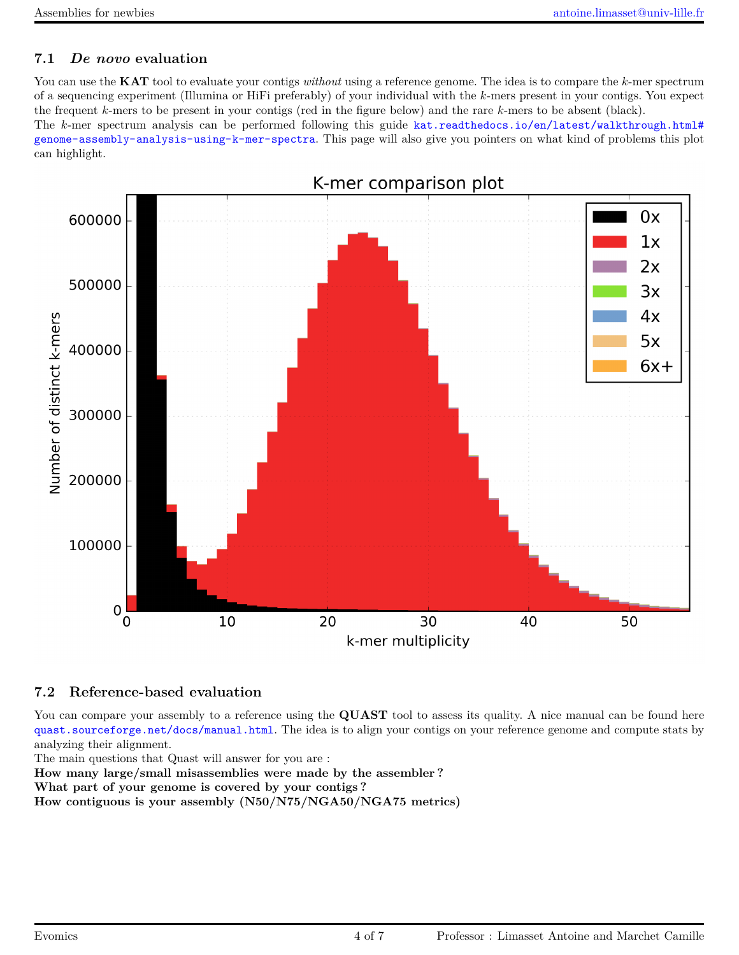### **7.1** *De novo* **evaluation**

You can use the **KAT** tool to evaluate your contigs *without* using a reference genome. The idea is to compare the *k*-mer spectrum of a sequencing experiment (Illumina or HiFi preferably) of your individual with the *k*-mers present in your contigs. You expect the frequent *k*-mers to be present in your contigs (red in the figure below) and the rare *k*-mers to be absent (black).

The *k*-mer spectrum analysis can be performed following this guide [kat.readthedocs.io/en/latest/walkthrough.html#](kat.readthedocs.io/en/latest/walkthrough.html#genome-assembly-analysis-using-k-mer-spectra) [genome-assembly-analysis-using-k-mer-spectra](kat.readthedocs.io/en/latest/walkthrough.html#genome-assembly-analysis-using-k-mer-spectra). This page will also give you pointers on what kind of problems this plot can highlight.



#### **7.2 Reference-based evaluation**

You can compare your assembly to a reference using the **QUAST** tool to assess its quality. A nice manual can be found here <quast.sourceforge.net/docs/manual.html>. The idea is to align your contigs on your reference genome and compute stats by analyzing their alignment.

The main questions that Quast will answer for you are :

**How many large/small misassemblies were made by the assembler ?**

**What part of your genome is covered by your contigs ?**

**How contiguous is your assembly (N50/N75/NGA50/NGA75 metrics)**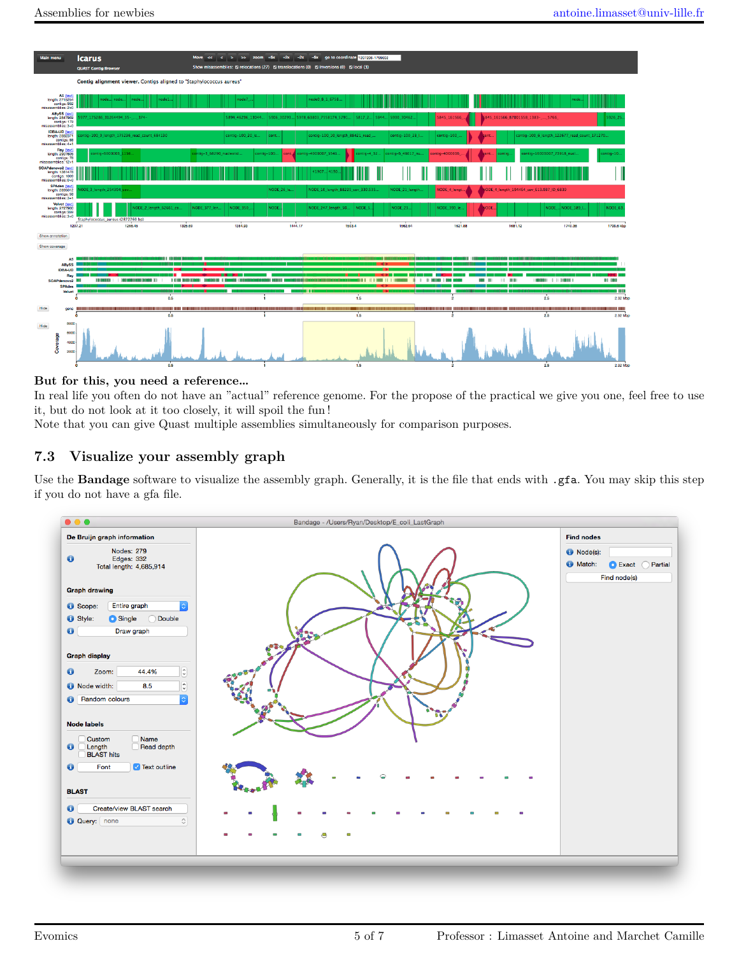

#### **But for this, you need a reference…**

In real life you often do not have an "actual" reference genome. For the propose of the practical we give you one, feel free to use it, but do not look at it too closely, it will spoil the fun !

Note that you can give Quast multiple assemblies simultaneously for comparison purposes.

#### **7.3 Visualize your assembly graph**

Use the **Bandage** software to visualize the assembly graph. Generally, it is the file that ends with .gfa. You may skip this step if you do not have a gfa file.

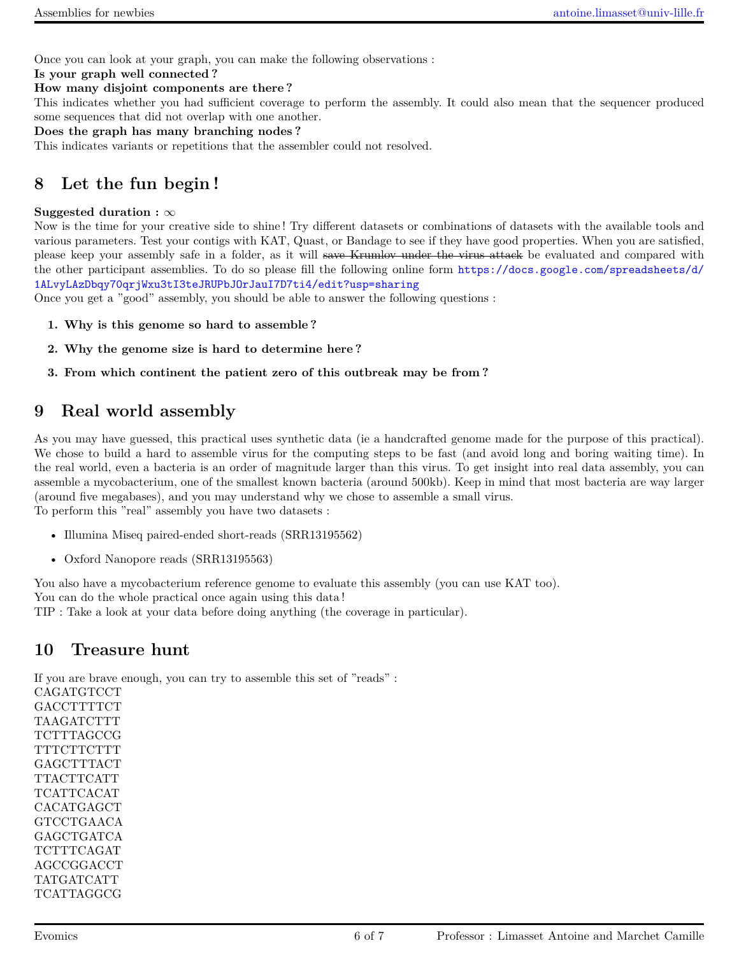Once you can look at your graph, you can make the following observations :

**Is your graph well connected ? How many disjoint components are there ?**

This indicates whether you had sufficient coverage to perform the assembly. It could also mean that the sequencer produced some sequences that did not overlap with one another.

**Does the graph has many branching nodes ?**

This indicates variants or repetitions that the assembler could not resolved.

# **8 Let the fun begin !**

#### **Suggested duration :** *∞*

Now is the time for your creative side to shine ! Try different datasets or combinations of datasets with the available tools and various parameters. Test your contigs with KAT, Quast, or Bandage to see if they have good properties. When you are satisfied, please keep your assembly safe in a folder, as it will save Krumlov under the virus attack be evaluated and compared with the other participant assemblies. To do so please fill the following online form [https://docs.google.com/spreadsheets/d/](https://docs.google.com/spreadsheets/d/1ALvyLAzDbqy70qrjWxu3tI3teJRUPbJOrJauI7D7ti4/edit?usp=sharing) [1ALvyLAzDbqy70qrjWxu3tI3teJRUPbJOrJauI7D7ti4/edit?usp=sharing](https://docs.google.com/spreadsheets/d/1ALvyLAzDbqy70qrjWxu3tI3teJRUPbJOrJauI7D7ti4/edit?usp=sharing)

Once you get a "good" assembly, you should be able to answer the following questions :

- **1. Why is this genome so hard to assemble ?**
- **2. Why the genome size is hard to determine here ?**
- **3. From which continent the patient zero of this outbreak may be from ?**

### **9 Real world assembly**

As you may have guessed, this practical uses synthetic data (ie a handcrafted genome made for the purpose of this practical). We chose to build a hard to assemble virus for the computing steps to be fast (and avoid long and boring waiting time). In the real world, even a bacteria is an order of magnitude larger than this virus. To get insight into real data assembly, you can assemble a mycobacterium, one of the smallest known bacteria (around 500kb). Keep in mind that most bacteria are way larger (around five megabases), and you may understand why we chose to assemble a small virus. To perform this "real" assembly you have two datasets :

- Illumina Miseq paired-ended short-reads (SRR13195562)
- Oxford Nanopore reads (SRR13195563)

You also have a mycobacterium reference genome to evaluate this assembly (you can use KAT too). You can do the whole practical once again using this data ! TIP : Take a look at your data before doing anything (the coverage in particular).

### **10 Treasure hunt**

If you are brave enough, you can try to assemble this set of "reads" :

CAGATGTCCT **GACCTTTTCT** TAAGATCTTT **TCTTTAGCCG TTTCTTCTTT** GAGCTTTACT TTACTTCATT TCATTCACAT CACATGAGCT GTCCTGAACA GAGCTGATCA **TCTTTCAGAT** AGCCGGACCT TATGATCATT TCATTAGGCG